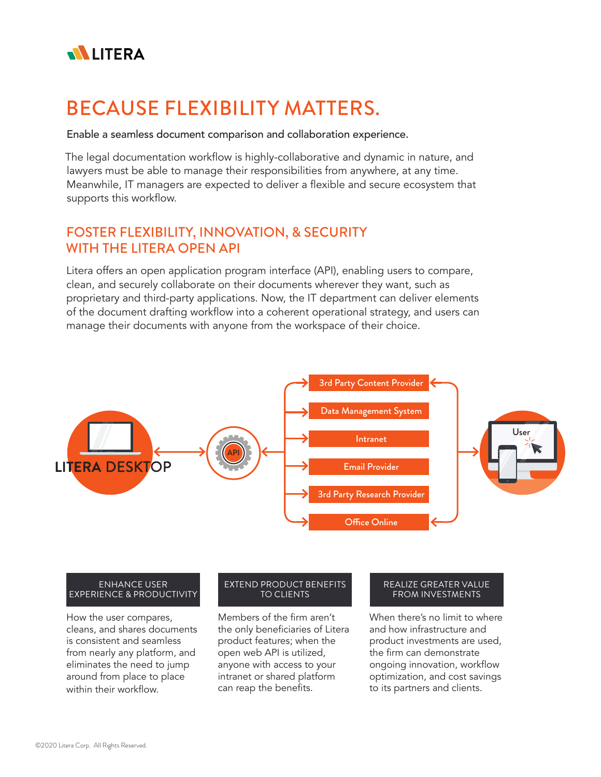

# BECAUSE FLEXIBILITY MATTERS.

Enable a seamless document comparison and collaboration experience.

The legal documentation workflow is highly-collaborative and dynamic in nature, and lawyers must be able to manage their responsibilities from anywhere, at any time. Meanwhile, IT managers are expected to deliver a flexible and secure ecosystem that supports this workflow.

## FOSTER FLEXIBILITY, INNOVATION, & SECURITY WITH THE LITERA OPEN API

Litera offers an open application program interface (API), enabling users to compare, clean, and securely collaborate on their documents wherever they want, such as proprietary and third-party applications. Now, the IT department can deliver elements of the document drafting workflow into a coherent operational strategy, and users can manage their documents with anyone from the workspace of their choice.



### ENHANCE USER EXPERIENCE & PRODUCTIVITY

How the user compares, cleans, and shares documents is consistent and seamless from nearly any platform, and eliminates the need to jump around from place to place within their workflow.

## EXTEND PRODUCT BENEFITS TO CLIENTS

Members of the firm aren't the only beneficiaries of Litera product features; when the open web API is utilized, anyone with access to your intranet or shared platform can reap the benefits.

#### REALIZE GREATER VALUE FROM INVESTMENTS

When there's no limit to where and how infrastructure and product investments are used, the firm can demonstrate ongoing innovation, workflow optimization, and cost savings to its partners and clients.